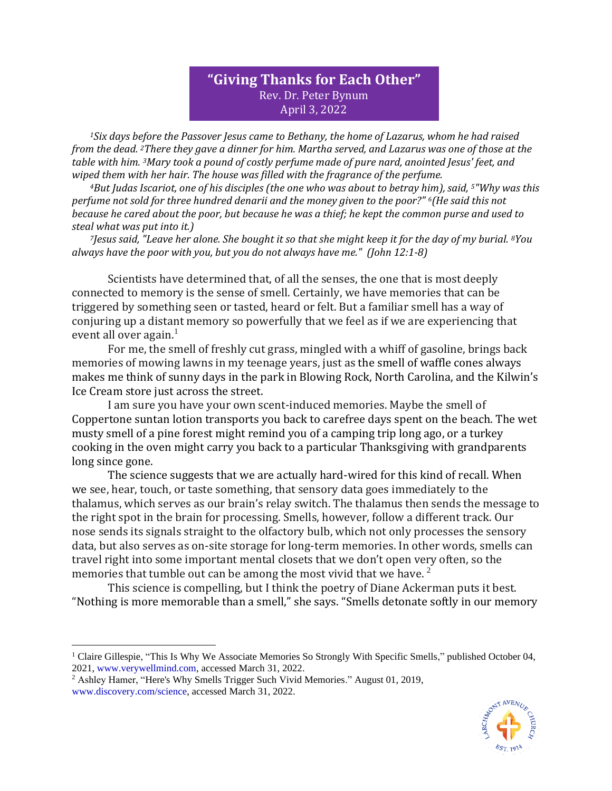## **"Giving Thanks for Each Other"** Rev. Dr. Peter Bynum April 3, 2022

*<sup>1</sup>Six days before the Passover Jesus came to Bethany, the home of Lazarus, whom he had raised from the dead. <sup>2</sup>There they gave a dinner for him. Martha served, and Lazarus was one of those at the table with him. <sup>3</sup>Mary took a pound of costly perfume made of pure nard, anointed Jesus' feet, and wiped them with her hair. The house was filled with the fragrance of the perfume.*

*<sup>4</sup>But Judas Iscariot, one of his disciples (the one who was about to betray him), said, <sup>5</sup>"Why was this perfume not sold for three hundred denarii and the money given to the poor?" <sup>6</sup>(He said this not because he cared about the poor, but because he was a thief; he kept the common purse and used to steal what was put into it.)*

*<sup>7</sup>Jesus said, "Leave her alone. She bought it so that she might keep it for the day of my burial. <sup>8</sup>You always have the poor with you, but you do not always have me." (John 12:1-8)*

Scientists have determined that, of all the senses, the one that is most deeply connected to memory is the sense of smell. Certainly, we have memories that can be triggered by something seen or tasted, heard or felt. But a familiar smell has a way of conjuring up a distant memory so powerfully that we feel as if we are experiencing that event all over again. $<sup>1</sup>$ </sup>

For me, the smell of freshly cut grass, mingled with a whiff of gasoline, brings back memories of mowing lawns in my teenage years, just as the smell of waffle cones always makes me think of sunny days in the park in Blowing Rock, North Carolina, and the Kilwin's Ice Cream store just across the street.

I am sure you have your own scent-induced memories. Maybe the smell of Coppertone suntan lotion transports you back to carefree days spent on the beach. The wet musty smell of a pine forest might remind you of a camping trip long ago, or a turkey cooking in the oven might carry you back to a particular Thanksgiving with grandparents long since gone.

The science suggests that we are actually hard-wired for this kind of recall. When we see, hear, touch, or taste something, that sensory data goes immediately to the thalamus, which serves as our brain's relay switch. The thalamus then sends the message to the right spot in the brain for processing. Smells, however, follow a different track. Our nose sends its signals straight to the olfactory bulb, which not only processes the sensory data, but also serves as on-site storage for long-term memories. In other words, smells can travel right into some important mental closets that we don't open very often, so the memories that tumble out can be among the most vivid that we have.  $2^2$ 

This science is compelling, but I think the poetry of Diane Ackerman puts it best. "Nothing is more memorable than a smell," she says. "Smells detonate softly in our memory



<sup>&</sup>lt;sup>1</sup> [Claire Gillespie,](https://www.verywellmind.com/claire-gillespie-5080737) "This Is Why We Associate Memories So Strongly With Specific Smells," published October 04, 2021, [www.verywellmind.com,](http://www.verywellmind.com/) accessed March 31, 2022.

<sup>&</sup>lt;sup>2</sup> Ashley Hamer, "Here's Why Smells Trigger Such Vivid Memories." August 01, 2019, [www.discovery.com/science,](http://www.discovery.com/science) accessed March 31, 2022.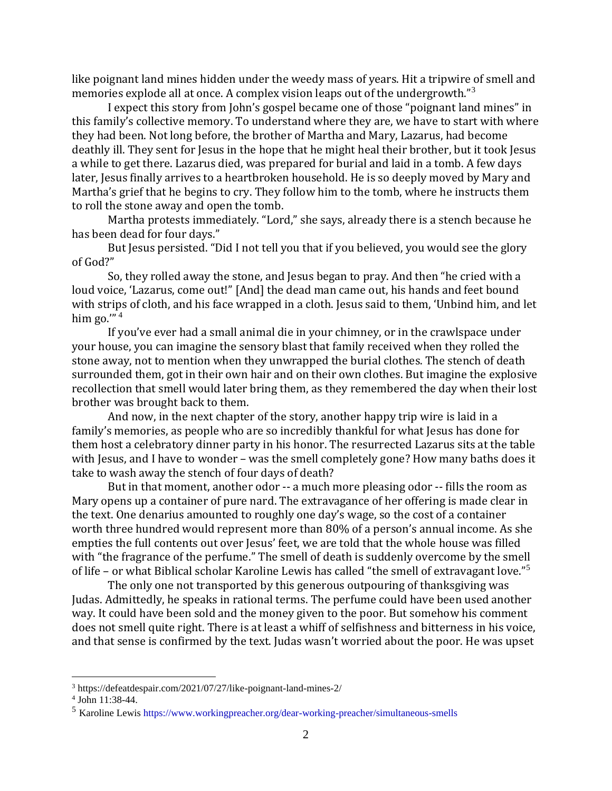like poignant land mines hidden under the weedy mass of years. Hit a tripwire of smell and memories explode all at once. A complex vision leaps out of the undergrowth."<sup>3</sup>

I expect this story from John's gospel became one of those "poignant land mines" in this family's collective memory. To understand where they are, we have to start with where they had been. Not long before, the brother of Martha and Mary, Lazarus, had become deathly ill. They sent for Jesus in the hope that he might heal their brother, but it took Jesus a while to get there. Lazarus died, was prepared for burial and laid in a tomb. A few days later, Jesus finally arrives to a heartbroken household. He is so deeply moved by Mary and Martha's grief that he begins to cry. They follow him to the tomb, where he instructs them to roll the stone away and open the tomb.

Martha protests immediately. "Lord," she says, already there is a stench because he has been dead for four days."

But Jesus persisted. "Did I not tell you that if you believed, you would see the glory of God?"

So, they rolled away the stone, and Jesus began to pray. And then "he cried with a loud voice, 'Lazarus, come out!" [And] the dead man came out, his hands and feet bound with strips of cloth, and his face wrapped in a cloth. Jesus said to them, 'Unbind him, and let him go.'" 4

If you've ever had a small animal die in your chimney, or in the crawlspace under your house, you can imagine the sensory blast that family received when they rolled the stone away, not to mention when they unwrapped the burial clothes. The stench of death surrounded them, got in their own hair and on their own clothes. But imagine the explosive recollection that smell would later bring them, as they remembered the day when their lost brother was brought back to them.

And now, in the next chapter of the story, another happy trip wire is laid in a family's memories, as people who are so incredibly thankful for what Jesus has done for them host a celebratory dinner party in his honor. The resurrected Lazarus sits at the table with Jesus, and I have to wonder – was the smell completely gone? How many baths does it take to wash away the stench of four days of death?

But in that moment, another odor -- a much more pleasing odor -- fills the room as Mary opens up a container of pure nard. The extravagance of her offering is made clear in the text. One denarius amounted to roughly one day's wage, so the cost of a container worth three hundred would represent more than 80% of a person's annual income. As she empties the full contents out over Jesus' feet, we are told that the whole house was filled with "the fragrance of the perfume." The smell of death is suddenly overcome by the smell of life – or what Biblical scholar Karoline Lewis has called "the smell of extravagant love."<sup>5</sup>

The only one not transported by this generous outpouring of thanksgiving was Judas. Admittedly, he speaks in rational terms. The perfume could have been used another way. It could have been sold and the money given to the poor. But somehow his comment does not smell quite right. There is at least a whiff of selfishness and bitterness in his voice, and that sense is confirmed by the text. Judas wasn't worried about the poor. He was upset

<sup>3</sup> https://defeatdespair.com/2021/07/27/like-poignant-land-mines-2/

<sup>4</sup> John 11:38-44.

<sup>5</sup> Karoline Lewis<https://www.workingpreacher.org/dear-working-preacher/simultaneous-smells>